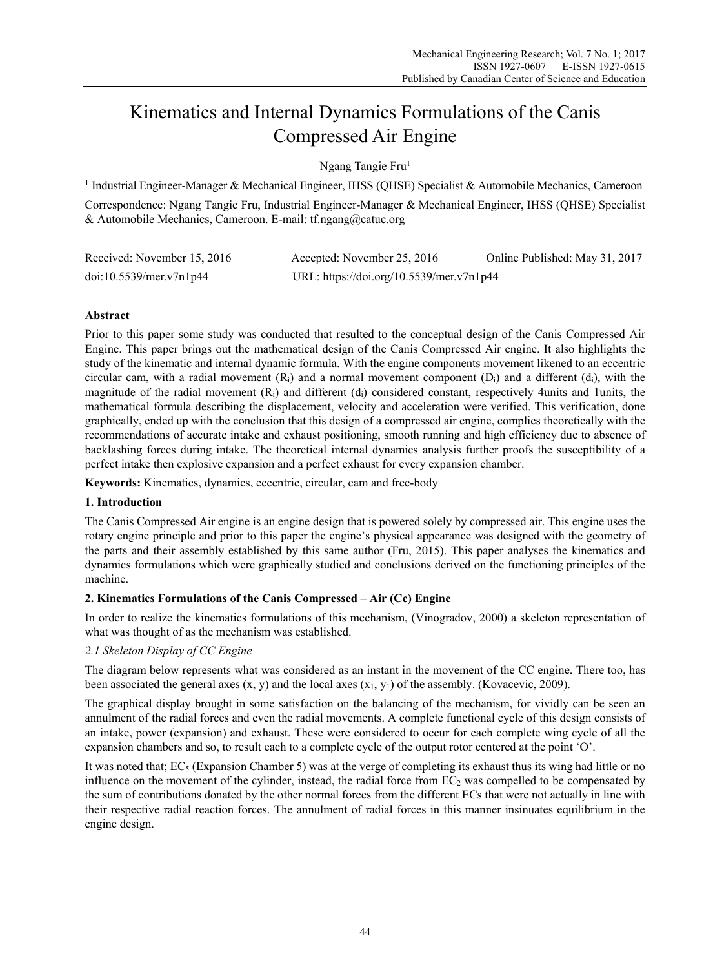# Kinematics and Internal Dynamics Formulations of the Canis Compressed Air Engine

Ngang Tangie Fru<sup>1</sup>

<sup>1</sup> Industrial Engineer-Manager & Mechanical Engineer, IHSS (QHSE) Specialist & Automobile Mechanics, Cameroon Correspondence: Ngang Tangie Fru, Industrial Engineer-Manager & Mechanical Engineer, IHSS (QHSE) Specialist & Automobile Mechanics, Cameroon. E-mail: tf.ngang@catuc.org

| Received: November 15, 2016 | Accepted: November 25, 2016              | Online Published: May 31, 2017 |
|-----------------------------|------------------------------------------|--------------------------------|
| doi:10.5539/mer.v7n1p44     | URL: https://doi.org/10.5539/mer.v7n1p44 |                                |

## **Abstract**

Prior to this paper some study was conducted that resulted to the conceptual design of the Canis Compressed Air Engine. This paper brings out the mathematical design of the Canis Compressed Air engine. It also highlights the study of the kinematic and internal dynamic formula. With the engine components movement likened to an eccentric circular cam, with a radial movement  $(R_i)$  and a normal movement component  $(D_i)$  and a different  $(d_i)$ , with the magnitude of the radial movement  $(R<sub>i</sub>)$  and different  $(d<sub>i</sub>)$  considered constant, respectively 4units and 1units, the mathematical formula describing the displacement, velocity and acceleration were verified. This verification, done graphically, ended up with the conclusion that this design of a compressed air engine, complies theoretically with the recommendations of accurate intake and exhaust positioning, smooth running and high efficiency due to absence of backlashing forces during intake. The theoretical internal dynamics analysis further proofs the susceptibility of a perfect intake then explosive expansion and a perfect exhaust for every expansion chamber.

**Keywords:** Kinematics, dynamics, eccentric, circular, cam and free-body

## **1. Introduction**

The Canis Compressed Air engine is an engine design that is powered solely by compressed air. This engine uses the rotary engine principle and prior to this paper the engine's physical appearance was designed with the geometry of the parts and their assembly established by this same author (Fru, 2015). This paper analyses the kinematics and dynamics formulations which were graphically studied and conclusions derived on the functioning principles of the machine.

## **2. Kinematics Formulations of the Canis Compressed – Air (Cc) Engine**

In order to realize the kinematics formulations of this mechanism, (Vinogradov, 2000) a skeleton representation of what was thought of as the mechanism was established.

## *2.1 Skeleton Display of CC Engine*

The diagram below represents what was considered as an instant in the movement of the CC engine. There too, has been associated the general axes  $(x, y)$  and the local axes  $(x<sub>1</sub>, y<sub>1</sub>)$  of the assembly. (Kovacevic, 2009).

The graphical display brought in some satisfaction on the balancing of the mechanism, for vividly can be seen an annulment of the radial forces and even the radial movements. A complete functional cycle of this design consists of an intake, power (expansion) and exhaust. These were considered to occur for each complete wing cycle of all the expansion chambers and so, to result each to a complete cycle of the output rotor centered at the point 'O'.

It was noted that;  $EC_5$  (Expansion Chamber 5) was at the verge of completing its exhaust thus its wing had little or no influence on the movement of the cylinder, instead, the radial force from  $EC<sub>2</sub>$  was compelled to be compensated by the sum of contributions donated by the other normal forces from the different ECs that were not actually in line with their respective radial reaction forces. The annulment of radial forces in this manner insinuates equilibrium in the engine design.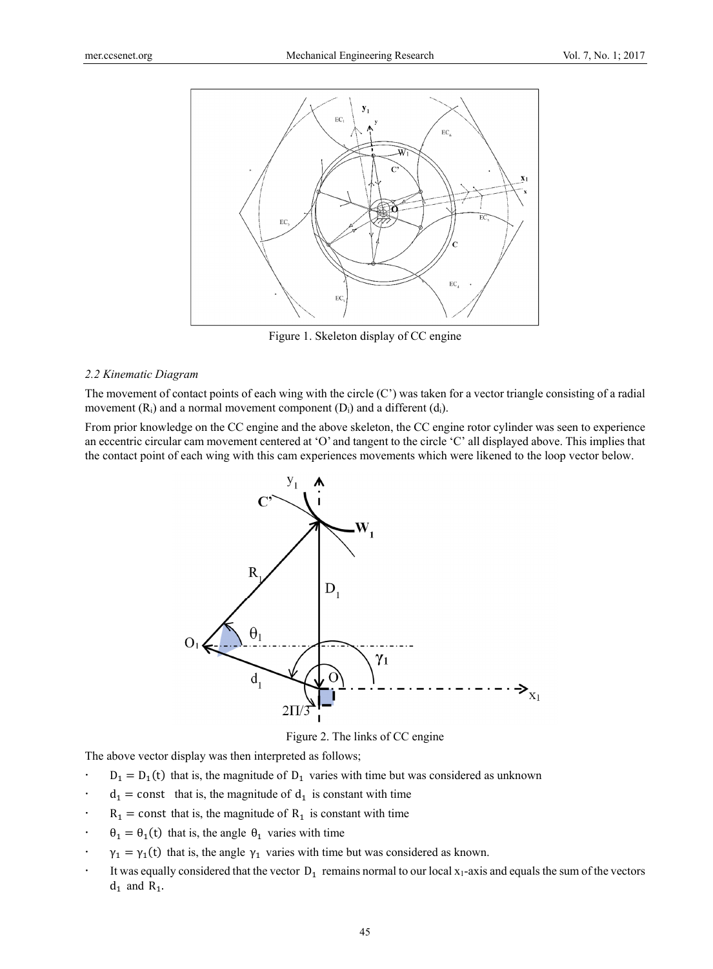

Figure 1. Skeleton display of CC engine

#### *2.2 Kinematic Diagram*

The movement of contact points of each wing with the circle  $(C')$  was taken for a vector triangle consisting of a radial movement  $(R_i)$  and a normal movement component  $(D_i)$  and a different  $(d_i)$ .

From prior knowledge on the CC engine and the above skeleton, the CC engine rotor cylinder was seen to experience an eccentric circular cam movement centered at 'O' and tangent to the circle 'C' all displayed above. This implies that the contact point of each wing with this cam experiences movements which were likened to the loop vector below.



Figure 2. The links of CC engine

The above vector display was then interpreted as follows;

- $D_1 = D_1(t)$  that is, the magnitude of  $D_1$  varies with time but was considered as unknown
- $d_1$  = const that is, the magnitude of  $d_1$  is constant with time
- $R_1$  = const that is, the magnitude of  $R_1$  is constant with time
- $\theta_1 = \theta_1(t)$  that is, the angle  $\theta_1$  varies with time
- $\gamma_1 = \gamma_1(t)$  that is, the angle  $\gamma_1$  varies with time but was considered as known.
- It was equally considered that the vector  $D_1$  remains normal to our local  $x_1$ -axis and equals the sum of the vectors  $d_1$  and  $R_1$ .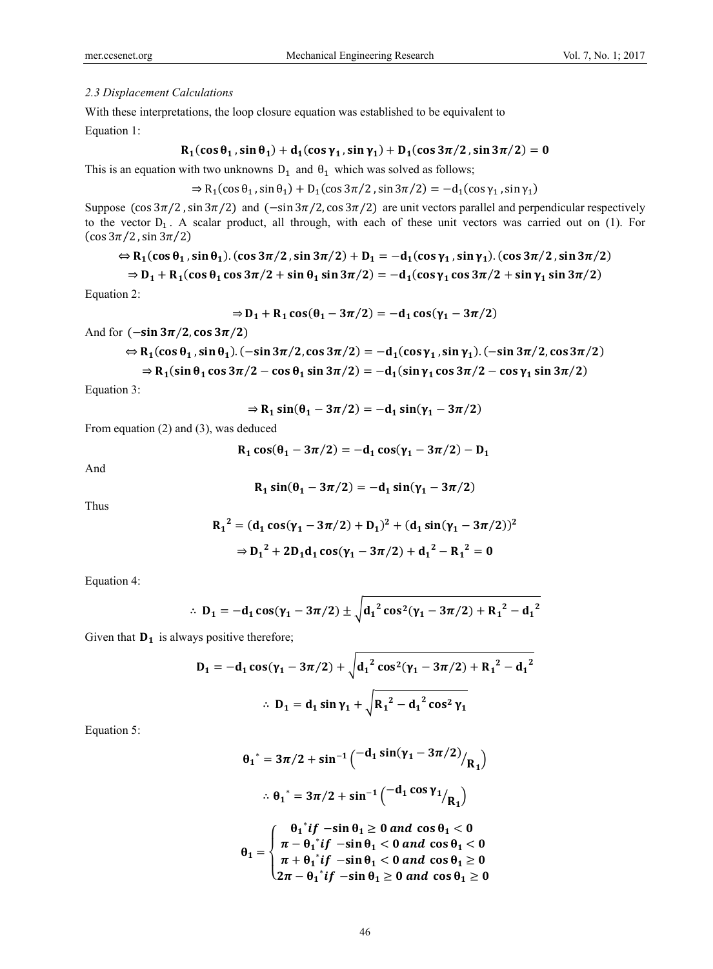#### *2.3 Displacement Calculations*

With these interpretations, the loop closure equation was established to be equivalent to

Equation 1:

$$
R_1(\cos\theta_1,\sin\theta_1)+d_1(\cos\gamma_1,\sin\gamma_1)+D_1(\cos3\pi/2,\sin3\pi/2)=0
$$

This is an equation with two unknowns  $D_1$  and  $\theta_1$  which was solved as follows;

 $\Rightarrow R_1(\cos \theta_1, \sin \theta_1) + D_1(\cos 3\pi/2, \sin 3\pi/2) = -d_1(\cos \gamma_1, \sin \gamma_1)$ 

Suppose  $(\cos 3\pi/2, \sin 3\pi/2)$  and  $(-\sin 3\pi/2, \cos 3\pi/2)$  are unit vectors parallel and perpendicular respectively to the vector  $D_1$ . A scalar product, all through, with each of these unit vectors was carried out on (1). For  $(\cos 3\pi/2, \sin 3\pi/2)$ 

$$
\Leftrightarrow R_1(\cos\theta_1,\sin\theta_1).(\cos3\pi/2,\sin3\pi/2)+D_1=-d_1(\cos\gamma_1,\sin\gamma_1).(\cos3\pi/2,\sin3\pi/2)
$$

$$
\Rightarrow D_1 + R_1(\cos\theta_1\cos3\pi/2 + \sin\theta_1\sin3\pi/2) = -d_1(\cos\gamma_1\cos3\pi/2 + \sin\gamma_1\sin3\pi/2)
$$

Equation 2:

$$
\Rightarrow D_1 + R_1 \cos(\theta_1 - 3\pi/2) = -d_1 \cos(\gamma_1 - 3\pi/2)
$$

And for  $(-\sin 3\pi/2, \cos 3\pi/2)$ 

$$
\Leftrightarrow R_1(\cos\theta_1, \sin\theta_1).(-\sin 3\pi/2, \cos 3\pi/2) = -d_1(\cos\gamma_1, \sin\gamma_1).(-\sin 3\pi/2, \cos 3\pi/2)
$$
  

$$
\Rightarrow R_1(\sin\theta_1 \cos 3\pi/2 - \cos\theta_1 \sin 3\pi/2) = -d_1(\sin\gamma_1 \cos 3\pi/2 - \cos\gamma_1 \sin 3\pi/2)
$$

Equation 3:

$$
\Rightarrow R_1 \sin(\theta_1 - 3\pi/2) = -d_1 \sin(\gamma_1 - 3\pi/2)
$$

From equation (2) and (3), was deduced

$$
R_1 \cos(\theta_1 - 3\pi/2) = -d_1 \cos(\gamma_1 - 3\pi/2) - D_1
$$

And

$$
R_1\sin(\theta_1-3\pi/2)=-d_1\sin(\gamma_1-3\pi/2)
$$

Thus

$$
R_1^2 = (d_1 \cos(\gamma_1 - 3\pi/2) + D_1)^2 + (d_1 \sin(\gamma_1 - 3\pi/2))^2
$$
  
\n
$$
\Rightarrow D_1^2 + 2D_1 d_1 \cos(\gamma_1 - 3\pi/2) + d_1^2 - R_1^2 = 0
$$

Equation 4:

$$
\therefore D_1 = -d_1 \cos(\gamma_1 - 3\pi/2) \pm \sqrt{d_1^2 \cos^2(\gamma_1 - 3\pi/2) + {R_1}^2 - {d_1}^2}
$$

Given that  $D_1$  is always positive therefore;

$$
D_1 = -d_1 \cos(\gamma_1 - 3\pi/2) + \sqrt{d_1^2 \cos^2(\gamma_1 - 3\pi/2) + R_1^2 - d_1^2}
$$
  
 
$$
\therefore D_1 = d_1 \sin \gamma_1 + \sqrt{R_1^2 - d_1^2 \cos^2 \gamma_1}
$$

Equation 5:

$$
\theta_1^* = 3\pi/2 + \sin^{-1}\left(\frac{-d_1 \sin(\gamma_1 - 3\pi/2)}{R_1}\right)
$$
  
.:  $\theta_1^* = 3\pi/2 + \sin^{-1}\left(\frac{-d_1 \cos \gamma_1}{R_1}\right)$   

$$
\theta_1 = \begin{cases} \theta_1^* if -\sin \theta_1 \ge 0 \text{ and } \cos \theta_1 < 0 \\ \pi - \theta_1^* if -\sin \theta_1 < 0 \text{ and } \cos \theta_1 < 0 \\ \pi + \theta_1^* if -\sin \theta_1 < 0 \text{ and } \cos \theta_1 \ge 0 \end{cases}
$$

ە  $2\pi - \theta_1^* if -\sin \theta_1 \geq 0$  and  $\cos \theta_1 \geq 0$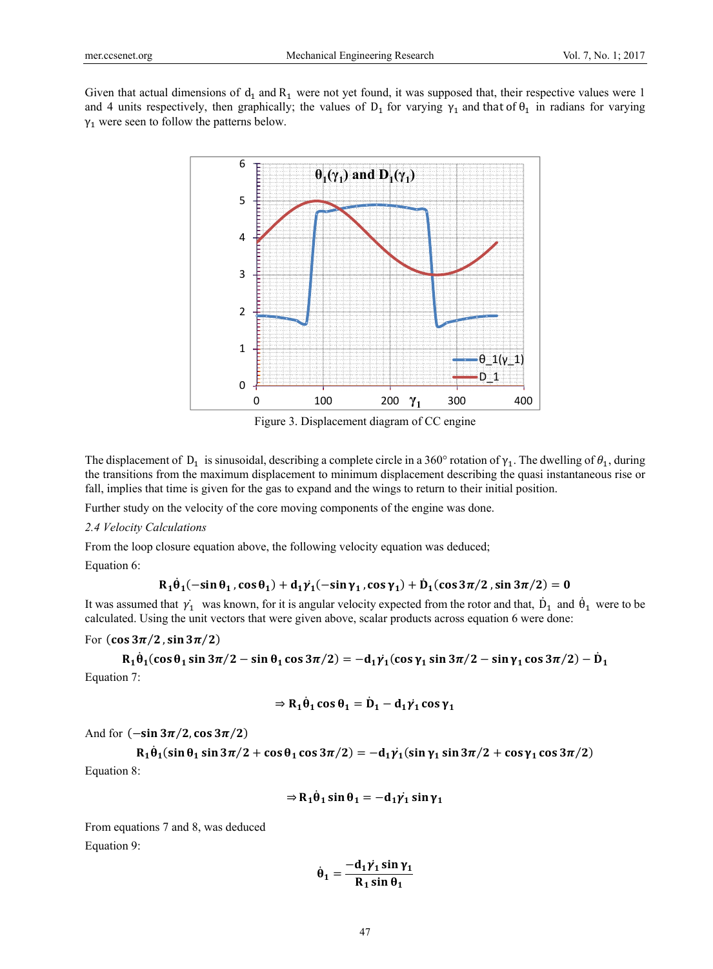Given that actual dimensions of  $d_1$  and  $R_1$  were not yet found, it was supposed that, their respective values were 1 and 4 units respectively, then graphically; the values of  $D_1$  for varying  $\gamma_1$  and that of  $\theta_1$  in radians for varying  $\gamma_1$  were seen to follow the patterns below.



Figure 3. Displacement diagram of CC engine

The displacement of D<sub>1</sub> is sinusoidal, describing a complete circle in a 360° rotation of  $\gamma_1$ . The dwelling of  $\theta_1$ , during the transitions from the maximum displacement to minimum displacement describing the quasi instantaneous rise or fall, implies that time is given for the gas to expand and the wings to return to their initial position.

Further study on the velocity of the core moving components of the engine was done.

*2.4 Velocity Calculations* 

From the loop closure equation above, the following velocity equation was deduced;

Equation 6:

$$
R_1\dot{\theta}_1(-\text{sin}\,\theta_1,\text{cos}\,\theta_1)+d_1\dot{\gamma_1}(-\text{sin}\,\gamma_1,\text{cos}\,\gamma_1)+\dot{D}_1(\text{cos}\,3\pi/2\,,\text{sin}\,3\pi/2)=0
$$

It was assumed that  $\dot{\gamma_1}$  was known, for it is angular velocity expected from the rotor and that,  $\dot{D}_1$  and  $\dot{\theta}_1$  were to be calculated. Using the unit vectors that were given above, scalar products across equation 6 were done:

For  $(\cos 3\pi/2, \sin 3\pi/2)$ 

 $R_1 \dot{\theta}_1 (\cos \theta_1 \sin 3\pi/2 - \sin \theta_1 \cos 3\pi/2) = -d_1 \gamma_1 (\cos \gamma_1 \sin 3\pi/2 - \sin \gamma_1 \cos 3\pi/2) - \dot{D}_1$ Equation 7:

$$
\Rightarrow R_1 \dot{\theta}_1 \cos \theta_1 = \dot{D}_1 - d_1 \dot{\gamma}_1 \cos \gamma_1
$$

And for  $(-\sin 3\pi/2, \cos 3\pi/2)$ 

 $R_1 \dot{\theta}_1 (\sin \theta_1 \sin 3\pi/2 + \cos \theta_1 \cos 3\pi/2) = -d_1 \dot{\gamma_1} (\sin \gamma_1 \sin 3\pi/2 + \cos \gamma_1 \cos 3\pi/2)$ Equation 8:

$$
\Rightarrow R_1 \dot{\theta}_1 \sin \theta_1 = -d_1 \dot{\gamma}_1 \sin \gamma_1
$$

From equations 7 and 8, was deduced Equation 9:

$$
\dot{\theta}_1 = \frac{-d_1 \dot{\gamma_1} \sin \gamma_1}{R_1 \sin \theta_1}
$$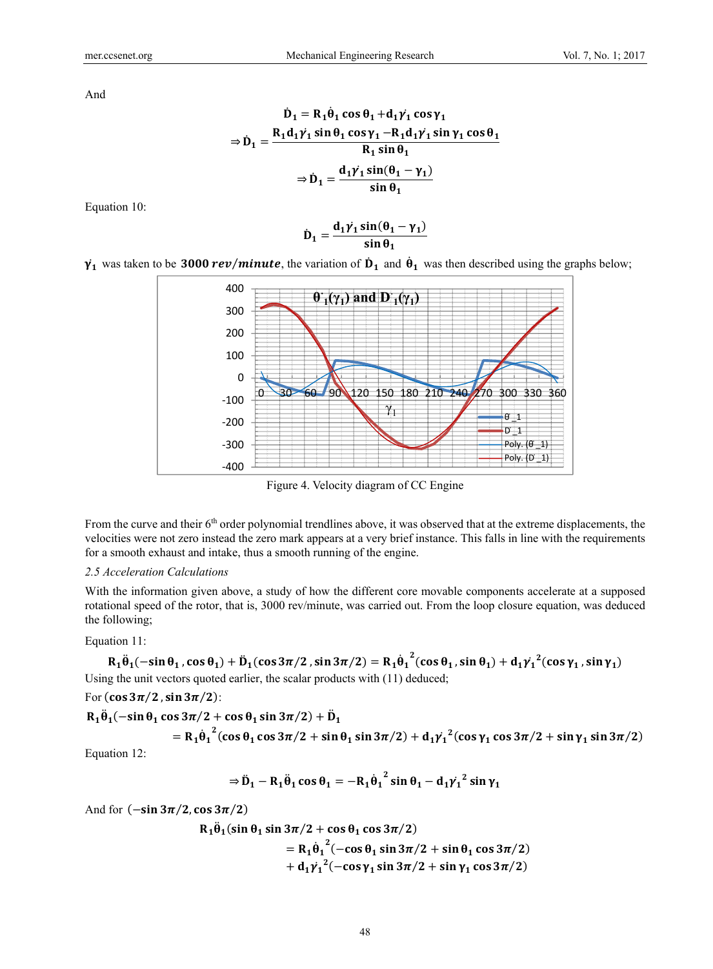And

$$
\dot{D}_1 = R_1 \dot{\theta}_1 \cos \theta_1 + d_1 \dot{\gamma}_1 \cos \gamma_1
$$
  
\n
$$
\Rightarrow \dot{D}_1 = \frac{R_1 d_1 \dot{\gamma}_1 \sin \theta_1 \cos \gamma_1 - R_1 d_1 \dot{\gamma}_1 \sin \gamma_1 \cos \theta_1}{R_1 \sin \theta_1}
$$
  
\n
$$
\Rightarrow \dot{D}_1 = \frac{d_1 \dot{\gamma}_1 \sin(\theta_1 - \gamma_1)}{\sin \theta_1}
$$

Equation 10:

$$
\dot{D}_1 = \frac{d_1 \dot{\gamma_1} \sin(\theta_1 - \gamma_1)}{\sin \theta_1}
$$





Figure 4. Velocity diagram of CC Engine

From the curve and their  $6<sup>th</sup>$  order polynomial trendlines above, it was observed that at the extreme displacements, the velocities were not zero instead the zero mark appears at a very brief instance. This falls in line with the requirements for a smooth exhaust and intake, thus a smooth running of the engine.

#### *2.5 Acceleration Calculations*

With the information given above, a study of how the different core movable components accelerate at a supposed rotational speed of the rotor, that is, 3000 rev/minute, was carried out. From the loop closure equation, was deduced the following;

#### Equation 11:

 $R_1\ddot{\theta}_1(-\sin\theta_1, \cos\theta_1) + \ddot{D}_1(\cos 3\pi/2, \sin 3\pi/2) = R_1\dot{\theta}_1$  $\frac{1}{2}$ (cos  $\theta_1$ , sin  $\theta_1$ ) +  $d_1 \gamma_1^2$ (cos  $\gamma_1$ , sin  $\gamma_1$ ) ሶ Using the unit vectors quoted earlier, the scalar products with (11) deduced;

## For  $(\cos 3\pi/2, \sin 3\pi/2)$ :

$$
R_1\ddot{\theta}_1(-\sin\theta_1\cos 3\pi/2 + \cos\theta_1\sin 3\pi/2) + \ddot{D}_1
$$
  
=  $R_1\dot{\theta}_1^2(\cos\theta_1\cos 3\pi/2 + \sin\theta_1\sin 3\pi/2) + d_1\dot{\gamma}_1^2(\cos\gamma_1\cos 3\pi/2 + \sin\gamma_1\sin 3\pi/2)$ 

Equation 12:

$$
\Rightarrow \ddot{D}_1 - R_1 \ddot{\theta}_1 \cos \theta_1 = -R_1 \dot{\theta}_1^2 \sin \theta_1 - d_1 {\dot{\gamma}_1}^2 \sin \gamma_1
$$

And for  $(-\sin 3\pi/2, \cos 3\pi/2)$ 

$$
R_1\ddot{\theta}_1(\sin\theta_1\sin 3\pi/2 + \cos\theta_1\cos 3\pi/2)
$$
  
=  $R_1\dot{\theta}_1^2(-\cos\theta_1\sin 3\pi/2 + \sin\theta_1\cos 3\pi/2)$   
+  $d_1\gamma_1^2(-\cos\gamma_1\sin 3\pi/2 + \sin\gamma_1\cos 3\pi/2)$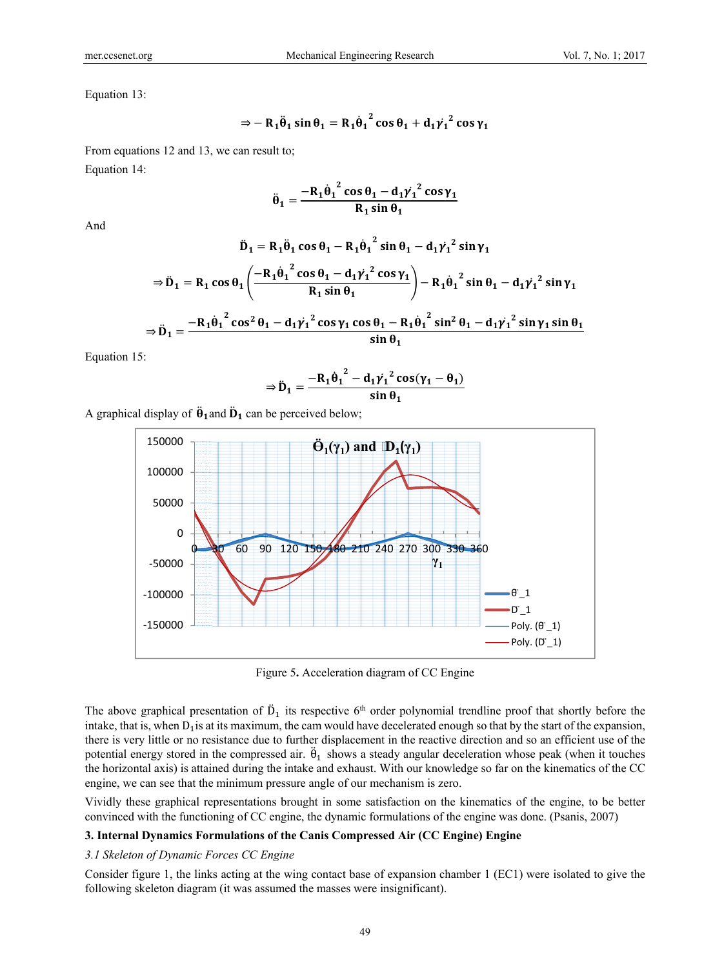Equation 13:

$$
\Rightarrow -R_1\ddot{\theta}_1\sin\theta_1 = R_1\dot{\theta}_1^2\cos\theta_1 + d_1\dot{\gamma}_1^2\cos\gamma_1
$$

From equations 12 and 13, we can result to; Equation 14:

$$
\ddot{\theta}_1 = \frac{-R_1 \dot{\theta}_1^2 \cos \theta_1 - d_1 \dot{\gamma}_1^2 \cos \gamma_1}{R_1 \sin \theta_1}
$$

And

$$
\ddot{D}_1 = R_1 \ddot{\theta}_1 \cos \theta_1 - R_1 \dot{\theta}_1^2 \sin \theta_1 - d_1 \gamma_1^2 \sin \gamma_1
$$
  
\n
$$
\Rightarrow \ddot{D}_1 = R_1 \cos \theta_1 \left( \frac{-R_1 \dot{\theta}_1^2 \cos \theta_1 - d_1 \gamma_1^2 \cos \gamma_1}{R_1 \sin \theta_1} \right) - R_1 \dot{\theta}_1^2 \sin \theta_1 - d_1 \gamma_1^2 \sin \gamma_1
$$
  
\n
$$
\Rightarrow \ddot{D}_1 = \frac{-R_1 \dot{\theta}_1^2 \cos^2 \theta_1 - d_1 \gamma_1^2 \cos \gamma_1 \cos \theta_1 - R_1 \dot{\theta}_1^2 \sin^2 \theta_1 - d_1 \gamma_1^2 \sin \gamma_1 \sin \theta_1}{\sin \theta_1}
$$

Equation 15:

$$
\Rightarrow \ddot{\mathbf{D}}_1 = \frac{-\mathbf{R}_1 \dot{\theta}_1^2 - d_1 \gamma_1^2 \cos(\gamma_1 - \theta_1)}{\sin \theta_1}
$$

A graphical display of  $\ddot{\theta}_1$  and  $\ddot{\theta}_1$  can be perceived below;



Figure 5**.** Acceleration diagram of CC Engine

The above graphical presentation of  $\ddot{D}_1$  its respective 6<sup>th</sup> order polynomial trendline proof that shortly before the intake, that is, when  $D_1$  is at its maximum, the cam would have decelerated enough so that by the start of the expansion, there is very little or no resistance due to further displacement in the reactive direction and so an efficient use of the potential energy stored in the compressed air.  $\ddot{\theta}_1$  shows a steady angular deceleration whose peak (when it touches the horizontal axis) is attained during the intake and exhaust. With our knowledge so far on the kinematics of the CC engine, we can see that the minimum pressure angle of our mechanism is zero.

Vividly these graphical representations brought in some satisfaction on the kinematics of the engine, to be better convinced with the functioning of CC engine, the dynamic formulations of the engine was done. (Psanis, 2007)

#### **3. Internal Dynamics Formulations of the Canis Compressed Air (CC Engine) Engine**

#### *3.1 Skeleton of Dynamic Forces CC Engine*

Consider figure 1, the links acting at the wing contact base of expansion chamber 1 (EC1) were isolated to give the following skeleton diagram (it was assumed the masses were insignificant).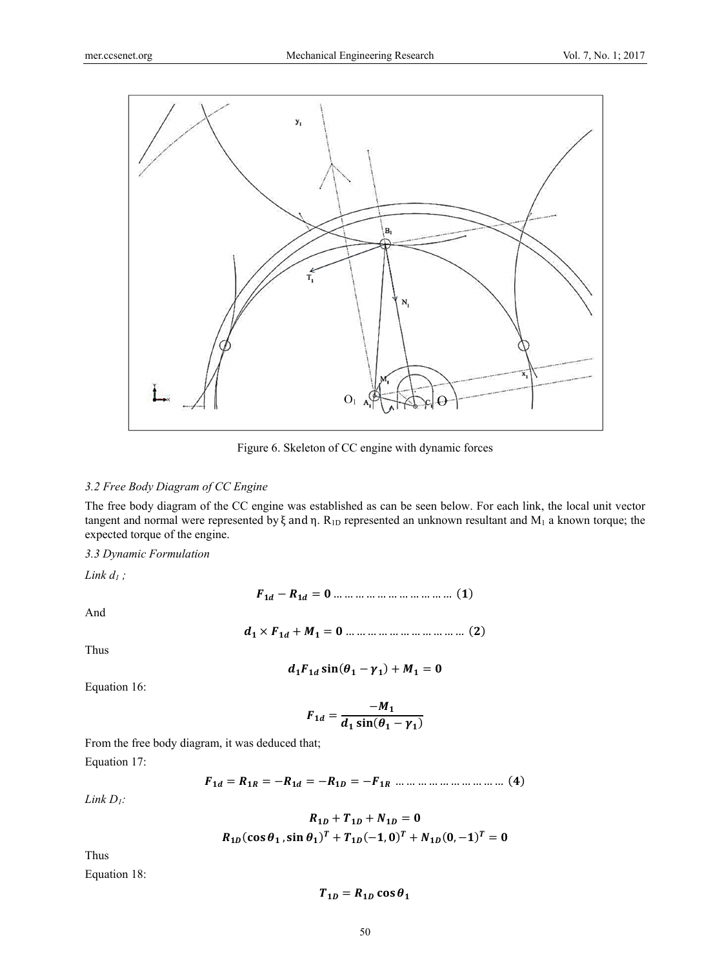

Figure 6. Skeleton of CC engine with dynamic forces

## *3.2 Free Body Diagram of CC Engine*

The free body diagram of the CC engine was established as can be seen below. For each link, the local unit vector tangent and normal were represented by ξ and η. R<sub>1D</sub> represented an unknown resultant and M<sub>1</sub> a known torque; the expected torque of the engine.

## *3.3 Dynamic Formulation*

*Link d1 ;* 

And

$$
F_{1d} - R_{1d} = 0 \dots \dots \dots \dots \dots \dots \dots \dots \dots \dots \tag{1}
$$

Thus

$$
d_1F_{1d}\sin(\theta_1-\gamma_1)+M_1=0
$$

ሻሺ = …………………………… ࡹ + ࢊࡲ ൈ ࢊ

Equation 16:

$$
F_{1d} = \frac{-M_1}{d_1 \sin(\theta_1 - \gamma_1)}
$$

From the free body diagram, it was deduced that; Equation 17:

$$
F_{1d} = R_{1R} = -R_{1d} = -R_{1D} = -F_{1R} \dots \dots \dots \dots \dots \dots \dots \dots \dots \tag{4}
$$

*Link D1:* 

$$
R_{1D} + T_{1D} + N_{1D} = 0
$$
  

$$
R_{1D}(\cos \theta_1, \sin \theta_1)^T + T_{1D}(-1, 0)^T + N_{1D}(0, -1)^T = 0
$$

Thus

Equation 18:

$$
T_{1D} = R_{1D} \cos \theta_1
$$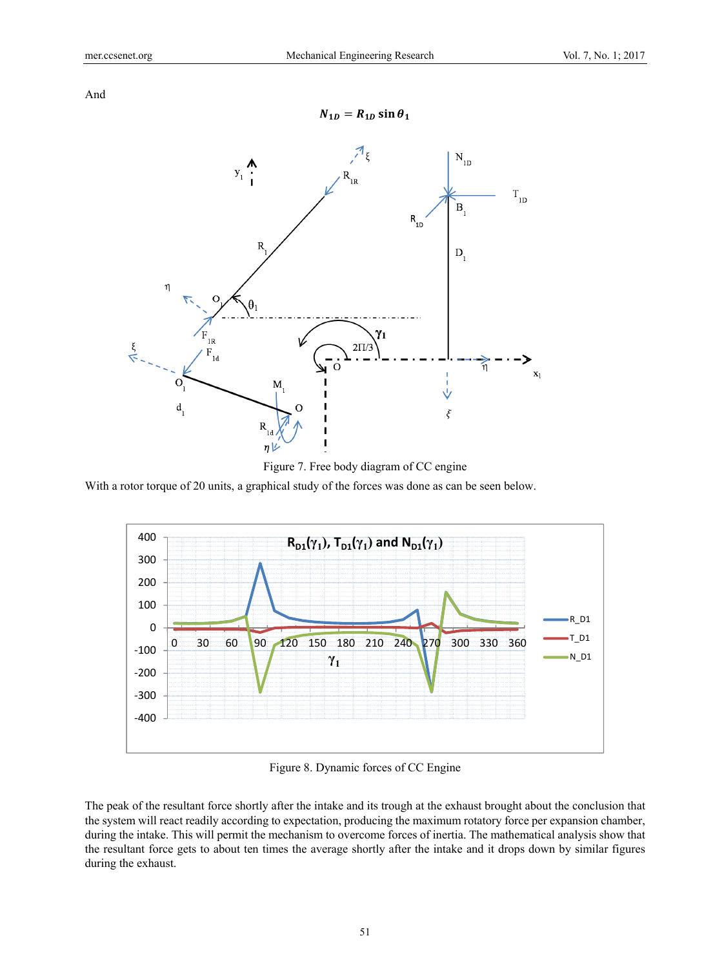And



Figure 7. Free body diagram of CC engine

With a rotor torque of 20 units, a graphical study of the forces was done as can be seen below.



Figure 8. Dynamic forces of CC Engine

The peak of the resultant force shortly after the intake and its trough at the exhaust brought about the conclusion that the system will react readily according to expectation, producing the maximum rotatory force per expansion chamber, during the intake. This will permit the mechanism to overcome forces of inertia. The mathematical analysis show that the resultant force gets to about ten times the average shortly after the intake and it drops down by similar figures during the exhaust.